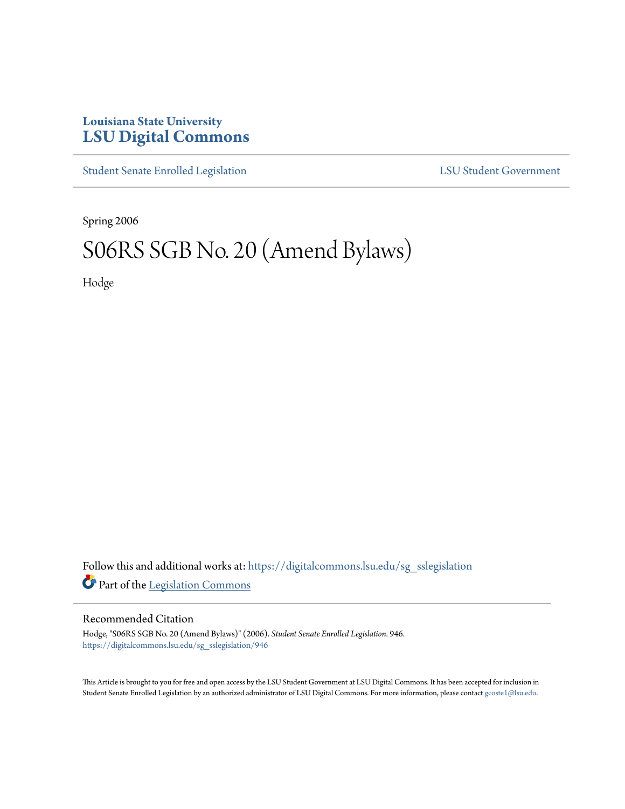# **Louisiana State University [LSU Digital Commons](https://digitalcommons.lsu.edu?utm_source=digitalcommons.lsu.edu%2Fsg_sslegislation%2F946&utm_medium=PDF&utm_campaign=PDFCoverPages)**

[Student Senate Enrolled Legislation](https://digitalcommons.lsu.edu/sg_sslegislation?utm_source=digitalcommons.lsu.edu%2Fsg_sslegislation%2F946&utm_medium=PDF&utm_campaign=PDFCoverPages) [LSU Student Government](https://digitalcommons.lsu.edu/sg?utm_source=digitalcommons.lsu.edu%2Fsg_sslegislation%2F946&utm_medium=PDF&utm_campaign=PDFCoverPages)

Spring 2006

# S06RS SGB No. 20 (Amend Bylaws)

Hodge

Follow this and additional works at: [https://digitalcommons.lsu.edu/sg\\_sslegislation](https://digitalcommons.lsu.edu/sg_sslegislation?utm_source=digitalcommons.lsu.edu%2Fsg_sslegislation%2F946&utm_medium=PDF&utm_campaign=PDFCoverPages) Part of the [Legislation Commons](http://network.bepress.com/hgg/discipline/859?utm_source=digitalcommons.lsu.edu%2Fsg_sslegislation%2F946&utm_medium=PDF&utm_campaign=PDFCoverPages)

## Recommended Citation

Hodge, "S06RS SGB No. 20 (Amend Bylaws)" (2006). *Student Senate Enrolled Legislation*. 946. [https://digitalcommons.lsu.edu/sg\\_sslegislation/946](https://digitalcommons.lsu.edu/sg_sslegislation/946?utm_source=digitalcommons.lsu.edu%2Fsg_sslegislation%2F946&utm_medium=PDF&utm_campaign=PDFCoverPages)

This Article is brought to you for free and open access by the LSU Student Government at LSU Digital Commons. It has been accepted for inclusion in Student Senate Enrolled Legislation by an authorized administrator of LSU Digital Commons. For more information, please contact [gcoste1@lsu.edu.](mailto:gcoste1@lsu.edu)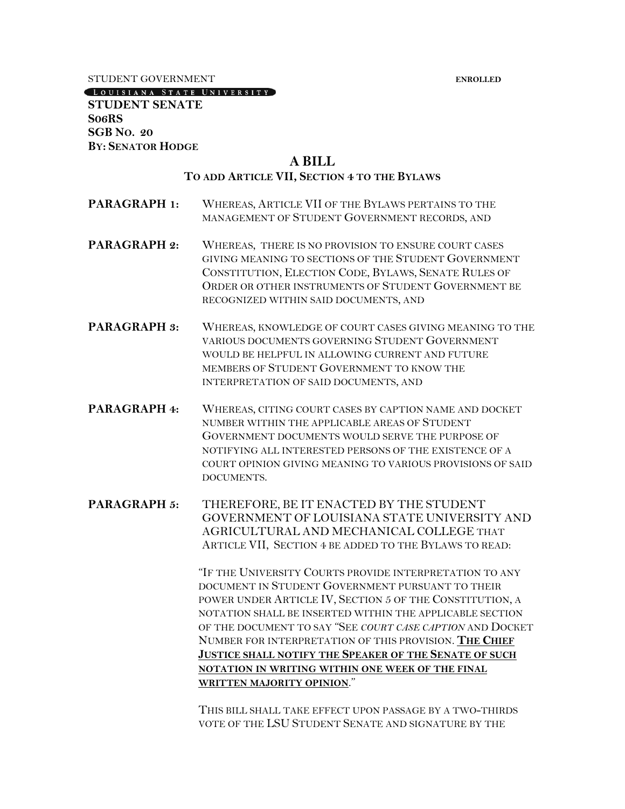STUDENT GOVERNMENT **ENROLLED** 

[LOUISIANA STATE UNIVERSITY]

**STUDENT SENATE S06RS SGB NO. 20 BY: SENATOR HODGE**

#### **A BILL**

#### **TO ADD ARTICLE VII, SECTION 4 TO THE BYLAWS**

- **PARAGRAPH 1:** WHEREAS, ARTICLE VII OF THE BYLAWS PERTAINS TO THE MANAGEMENT OF STUDENT GOVERNMENT RECORDS, AND
- **PARAGRAPH 2:** WHEREAS, THERE IS NO PROVISION TO ENSURE COURT CASES GIVING MEANING TO SECTIONS OF THE STUDENT GOVERNMENT CONSTITUTION, ELECTION CODE, BYLAWS, SENATE RULES OF ORDER OR OTHER INSTRUMENTS OF STUDENT GOVERNMENT BE RECOGNIZED WITHIN SAID DOCUMENTS, AND
- **PARAGRAPH 3:** WHEREAS, KNOWLEDGE OF COURT CASES GIVING MEANING TO THE VARIOUS DOCUMENTS GOVERNING STUDENT GOVERNMENT WOULD BE HELPFUL IN ALLOWING CURRENT AND FUTURE MEMBERS OF STUDENT GOVERNMENT TO KNOW THE INTERPRETATION OF SAID DOCUMENTS, AND
- PARAGRAPH 4: WHEREAS, CITING COURT CASES BY CAPTION NAME AND DOCKET NUMBER WITHIN THE APPLICABLE AREAS OF STUDENT GOVERNMENT DOCUMENTS WOULD SERVE THE PURPOSE OF NOTIFYING ALL INTERESTED PERSONS OF THE EXISTENCE OF A COURT OPINION GIVING MEANING TO VARIOUS PROVISIONS OF SAID DOCUMENTS.
- **PARAGRAPH 5:** THEREFORE, BE IT ENACTED BY THE STUDENT GOVERNMENT OF LOUISIANA STATE UNIVERSITY AND AGRICULTURAL AND MECHANICAL COLLEGE THAT ARTICLE VII, SECTION 4 BE ADDED TO THE BYLAWS TO READ:

"IF THE UNIVERSITY COURTS PROVIDE INTERPRETATION TO ANY DOCUMENT IN STUDENT GOVERNMENT PURSUANT TO THEIR POWER UNDER ARTICLE IV, SECTION 5 OF THE CONSTITUTION, A NOTATION SHALL BE INSERTED WITHIN THE APPLICABLE SECTION OF THE DOCUMENT TO SAY "SEE *COURT CASE CAPTION* AND DOCKET NUMBER FOR INTERPRETATION OF THIS PROVISION. **THE CHIEF JUSTICE SHALL NOTIFY THE SPEAKER OF THE SENATE OF SUCH NOTATION IN WRITING WITHIN ONE WEEK OF THE FINAL WRITTEN MAJORITY OPINION**."

THIS BILL SHALL TAKE EFFECT UPON PASSAGE BY A TWO-THIRDS VOTE OF THE LSU STUDENT SENATE AND SIGNATURE BY THE